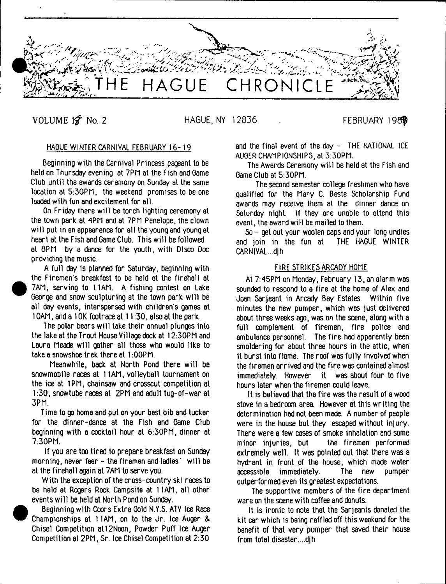

VOLUME 1 A No. 2 HAGUE, NY 12836 FEBRUARY 1987

# HAGUE WINTER CARNIVAL FEBRUARY 16-19

Beginning with the Carnival Princess pageant to be held on Thursday evening at 7PM at the Fish and Game Club until the awards ceremony on Sunday at the same location at 5:30PM, the weekend promises to be one loaded with fun end excitement for all.

On Friday there will be torch lighting ceremony at the town park at 4PM and at 7PM Penelope, the clown will put in an appearance for all the young and young at heart at the Fish and Oame Club. This will be followed at 8PM by a dance for the youth, with Disco Doc providing the music.

A full day is planned for Saturday, beginning with the Firemen's breakfast to be held at the firehall at 7AM, serving to 11AM. A fishing contest on Lake George and snow sculpturing at the town park will be all day events, interspersed with children's games at 1OAM, and a 1 OK footrace at 11:30, also at the park.

The polar bears will take their annual plunges into the lake at the Trout House Village dock at 12:30PM and Laura Meade will gather all those who would like to take a snowshoe trek there at 1:00PM.

Meanwhile, back at North Pond there will be snowmobile races at 11AM, volleyball tournament on the ice at 1PM, chainsaw and crosscut competition at 1:30, snowtube races at 2PM and adult tug-of-war at 3PM.

Time to go home and put on your best bib and tucker for the dinner-dance at the Fish and Oame Club beginning with a cocktail hour at 6:30PM, dinner at 7:30PM.

If you are too tired to prepare breakfast on Sunday morning, never fear - the firemen and ladies' will be at the firehall again at 7AM to serve you.

With the exception of the cross-country ski races to be held at Rogers Rock Campsite at 11AM, all other events wilt be held at North Pond on Sunday.

 Beginning with Coors Extra Gold N.Y.S. ATV Ice Race Championships at 11AM, on to the Jr. Ice Auger & Chisel Competition at12Noon, Powder Puff Ice Auger Competition at 2PM, Sr. ice Chisel Competition at 2:30

**e** 

and the final event of the day - THE NATIONAL ICE AUGER CHAMPIONSHIPS, at 3:30PM.

The Awards Ceremony will be held at the Fish and Game Club at 5:30PM.

The second semester college freshmen who have qualified for the Mary C. Beste Scholarship Fund awards may receive them at the dinner dance on Saturday night. If they are unable to attend this event, the award will be mailed to them.

So - get out your woolen caps and your long undies and join in the fun at CARNIVAL. ..djh

### FIRE STRIKES ARCADY HOME

At 7:45PM on Monday, February 13, an alarm was sounded to respond to a fire at the home of Alex and Joan Sarjeant in Arcady Bay Estates. Within five minutes the new pumper, which was just delivered about three weeks ago, was on the scene, along with a full complement of firemen, fire police and ambulance personnel. The fire had apparently been smoldering for about three hours in the attic, when It burst into flame. The roof was fully involved when the firemen arrived and the fire was contained almost immediately. However it was about four to five hours later when the firemen could leave.

It is believed that the fire was the result of a wood stove in a bedroom area. However at this writing the determination had not been made. A number of people were in the house but they escaped without injury. There were a few cases of smoke inhalation and some minor injuries, but the firemen performed extremely well. It was pointed out that there was a hydrant in front of the house, which made water accessible immediately. The new pumper outperformed even its greatest expectations.

The supportive members of the fire department were on the scene with coffee and donuts.

It is ironic to note that the Sarjeants donated the kit car which is being raffled off this weekend for the benefit of that very pumper that saved their house from total disaster....djh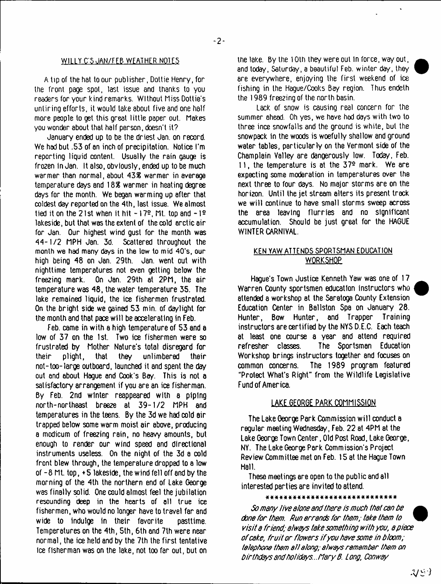## WILLY C'5 JAN/FEB WEATHER NOTES

A tip of the hat to our publisher, Dottie Henry, for the front page spot, last issue and thanks to you readers for your kind remarks. Without Miss Dottie's untiring efforts, it would take about five and one half more people to get this great little paper out. Makes you wonder about that half person, doesn't it?

January ended up to be the driest Jan. on record. We had but .53 of an inch of precipitation. Notice I'm reporting liquid content. Usually the rain gauge is frozen in Jan. It also, obviously, ended up to be much warmer than normal, about 438 warmer in average temperature days and 188 warmer in heating degree days for the month. We began warming up after that coldest day reported on the 4th, last issue. We almost tied it on the 21st when it hit  $-17<sup>2</sup>$ , Mt. top and  $-1<sup>2</sup>$ lakeside, but that was the extent of the cold arctic air for Jan. Our highest wind gust for the month was 44-1/2 MPH Jan. 3d. Scattered throughout the month we had many days in the low to mid 40's, our high being 48 on Jan. 29th. Jan. went out with nighttime temperatures not even getting below the freezing mark. On Jan. 29th at 2PM, the air temperature was 48, the water temperature 35. The lake remained liquid, the ice fishermen frustrated. On the bright side we gained 53 min. of daylight for the month and that pace will be accelerating in Feb.

Feb. came in with a high temperature of 53 and a low of 37 on the 1st. Two ice fishermen were so frustrated by Mother Nature's total disregard for their plight, that they unlimbered their not-too-large outboard, launched it and spent the day out and about Hague and Cook's Bay. This is not a satisfactory arrangement if you are an ice fisherman. By Feb. 2nd winter reappeared with a piping north-northeast breeze at 39-1/2 MPH and temperatures in the teens. By the 3d we had cold air trapped below some warm moist air above, producing a modicum of freezing rain, no heavy amounts, but enough to render our wind speed and directional instruments useless. On the night of the 3d a cold front blew through, the temperature dropped to a low of -8 Mt. top, +5 lakeside, the wind fell off and by the morning of the 4th the northern end of Lake George was finally solid. One could almost feel the jubilation resounding deep in the hearts of all true ice fishermen, who would no longer have to travel far and wide to indulge in their favorite pasttime. Temperatures on the 4th, 5th, 6th and 7th were near normal, the ice held and by the 7th the first tentative Ice fisherman was on the lake, not too far out, but on

the lake. By the 10th they were out in force, way out, and today, Saturday, a beautiful Feb. winter day, they ere everywhere, enjoying the first weekend of ice fishing in the Hague/Cooks Bay region. Thus endeth the 1989 freezing of the north basin.

Lack of snow is causing real concern for the summer ahead. Oh yes, we have had days with two to three ince snowfalls and the ground is white, but the snowpack in the woods is woefully shallow and ground water tables, particularly on the Vermont side of the Champlain Valley are dangerously low. Today, Feb. 11, the temperature is at the 37e mark. We are expecting some moderation in temperatures over the next three to four days. No major storms are on the horizon. Until the jet stream alters its present track we will continue to have small storms sweep across the area leaving flurries and no significant accumulation. Should be just great for the HAGUE WINTER CARNIVAL.

# KEN YAW ATTENDS SPORTSMAN EDUCATION WORKSHOP

Hague's Town Justice Kenneth Yaw was one of 17 Warren County sportsmen education instructors who attended a workshop at the Saratoga County Extension Education Center in Ballston Spa on January 28. Hunter, Bow Hunter, and Trapper Training instructors are certified by the NYS D.E.C. Each teach at least one course a year and attend required refresher classes. The Sportsman Education Workshop brings instructors together and focuses on common concerns. The 1989 program featured "Protect What's Right" from the Wildlife Legislative Fund of America.

## **LAKE GEORGE PARK COMMISSION**

The Lake George Park Commission will conduct a regular meeting Wednesday, Feb. 22 at 4PM at the Lake George Town Center, Old Post Road, Lake George, NY. The Lake George Perk Commission's Project Review Committee met on Feb. 15 at the Hague Town Hall.

These meetings ere open to the public and all interested parties are invited to attend.

#### \*\*\*\*\*\*\*\*\*\*\*\*\*\*\*\*\*\*\*\*\*\*\*\*\*\*\*\*

*So many live alone and there is much that can be done for them. Run errands for them; take them to visit a friend; always take something with you*, *apiece of cake, fru it or flowers if you have some in bloom; telephone them a ll along; always remember them on birthdays andholidays...f1ary B. Long, Conway*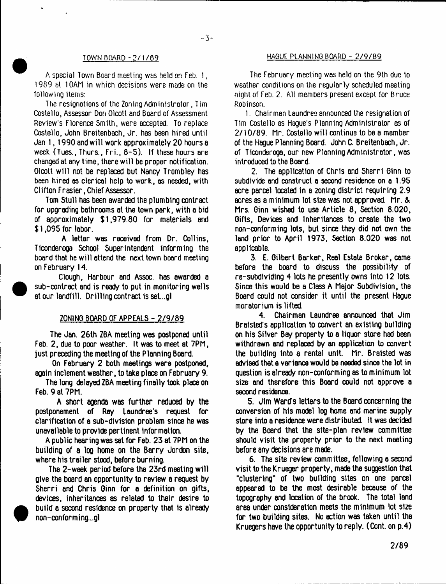# $-3-$

A special Town Board meeting was held on Feb. 1, 1989 at 10AM in which decisions were made on the following items:

The resignations of the Zoning Administrator, Tim Costello, Assessor Don Olcott and Board of Assessment Review's Florence Smith, were accepted. To replace Costello, John Breitenbach, Jr. has been hired until Jan 1,1990 and will work approximately 20 hours a week (Tues., Thurs., Fri., 6-5). If these hours are changed at any time, there will be proper notification. Olcott will not be replaced but Nancy Trombley has been hired as clerical help to work, as needed, with Clifton Frasier, Chief Assessor.

Tom Stull has been awarded the plumbing contract for upgrading bathrooms at the town park, with a bid of approximately \$1,979.60 for materials and \$ 1,095 for labor.

A letter was received from Dr. Collins, Ticonderoga School Superintendent informing the board that he will attend the next town board meeting on February 14.

Clough, Harbour and Assoc, has awarded a sub-contract and is ready to put in monitoring wells at our landfill. Drilling contract is set...gl

### ZONING BOARD OF APPEALS - 2/9/89

The Jan. 26th ZBA meeting was postponed until Feb. 2, due to poor weather. It was to meet at 7PM, just preceding the meeting of the Planning Board.

On February 2 both meetings were postponed, again inclement weather, to take place on February 9.

The long delayed ZBA meeting finally took place on Feb. 9 at 7PM.

A short agenda was further reduced by the postponement of Roy Loundree's request for clarification of a sub-division problem since he was unavailable to provide pertinent information.

A public hearing was set for Feb. 23 at 7PM on the building of a log home on the Barry Jordon site, where his trailer stood, before burning.

The 2-week period before the 23rd meeting will give the board an opportunity to review a request by Sherri and Chris Ginn for a definition on gifts, devices, inheritances as related to their desire to build a second residence on property that 1s already non-conforming...gl

## TOWN BOARD - 2/1/89 HAGUE PLANNING BOARD - 2/9/89

The February meeting wes held on the 9th due to weather conditions on the regularly scheduled meeting night of Feb. 2. All members present except for Bruce Robinson.

1. Chairmen Laundree announced the resignation of Tim Costello as Hague's Planning Administrator as of 2/10/89. Mr. Costello will continue to be e member of the Hague Planning Board. John C. Breitenbach, Jr. of Ticonderoga, our new Planning Administrator, was introduced to the Board.

2. The application of Chris and Sherri Ginn to subdivide and construct a second residence on a 1.95 acre parcel located in a zoning district requiring 2.9 acres as a minimum lot size was not approved. Mr. & Mrs. Ginn wished to use Article 8, Section 8.020, Gifts, Devices and Inheritances to create the two non-conforming lots, but since they did not own the land prior to April 1973, Section 8.020 was not applicable.

3. E. Gilbert Barker, Real Estate Broker, come before the board to discuss the possibility of re-subdividing 4 lots he presently owns Into 12 lots. Since this would be a Class A Major Subdivision, the Board could not consider it until the present Hague moratorium is lifted.

4. Chairman Laundree announced that Jim Braisted's application to convert an existing building on his Silver Bay property to a liquor store had been withdrawn and replaced by an application to convert the building into a rental unit. Mr. Braisted was advised that a variance would be needed since the lot in question is already non-conforming as to minimum lot size and therefore this Board could not approve a second residence.

5. Jim Ward's letters to the Board concerning the conversion of his model log home and marine supply store into a residence were distributed. It was decided by the Board that the slte-plan review committee should visit the property prior to the next meeting before any decisions are made.

6. The site review committee, following a second visit to the Krueger property, made the suggestion that "clustering" of two building sites on one parcel appeared to be the most desirable because of the topography and location of the brook. The total land area under consideration meets the minimum lot size for two building sites. No action was taken until the Kruegers have the opportunity to reply. (Cont. on p.4)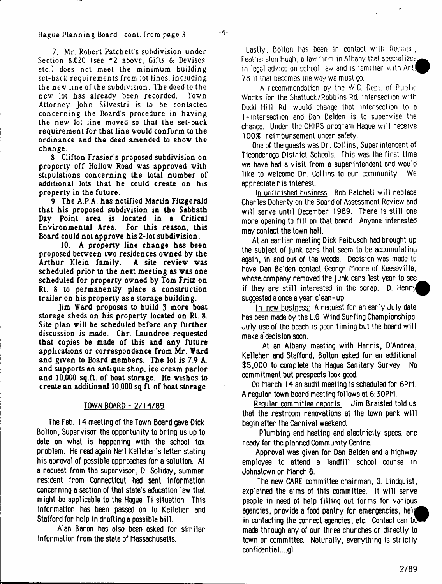7. Mr. Robert Patchett's subdivision under Section 8.020 (see <sup>#</sup>2 above. Gifts & Devises, etc.) docs not meet the minimum building set-back requirements from lot lines, including the new line of the subdivision. The deed to the new lot has already been recorded. Town new lot has already been recorded. Attorney John Silvestri is to be contacted concerning the Board's procedure in having the new lot line moved so that the set-back requirement for that line would conform to the ordinance and the deed amended to show the change.

8. Clifton Frasier's proposed subdivision on property off Hollow Road was approved with stipulations concerning the total number of additional lots that he could create on his property in the future.

9. The A.P.A. has notified Martin Fitzgerald that his proposed subdivision in the Sabbath Day Point area is located in a Critical Environmental Area. For this reason, this Board could not approve his 2-lot subdivision.

10. A property line change has been proposed between two residences owned by the<br>Arthur Klein family. A site review was Arthur Klein family. scheduled prior to the next meeting as was one scheduled for property owned by Tom Fritz on Rt. 8 to permanently place a construction trailer on his property as a storage building.

Jim Ward proposes to build 3 more boat storage sheds on his property located on Rt. 8. Site plan will be scheduled before any further discussion is made. Chr. Laundree requested that copies be made of this and any future applications or correspondence from Mr. Ward and given to Board members. The lot is 7.9 A. and supports an antique shop, ice cream parlor and 10,000 sq.ft. of boat storage. He wishes to create an additional 10,000 sq.ft. of boat storage.

## TOWN BOARD - 2/14/89

The Feb. 14 meeting of the Town Board gave Dick Bolton, Supervisor the opportunity to bring us up to date on what is happening with the school tax problem. He read again Neil Kelleher's letter stating his aproval of possible approaches for a solution. At a request from the supervisor, D. Soliday, summer resident from Connecticut had sent information concerning a section of that state's education law that might be applicable to the Hague-Ti situation. This information has been passed on to Kelleher and Stafford for help in drafting **a** possible bill.

Alan Baron has also been asked for similar Information from the state of Massachusetts.

Lastly, Bolton has bean in contact with Rocmcr, Feather sion Hugh, a law firm in Albany that specializes, in legal advice on school law and is familiar with  $Art!$ 78 if that becomes the way we must go.

A recommendation by the W.C. Dept, of Public Works for the Shatluck/Robbins Rd. intersection with Dodd Hill Rd. would change that intersection to a T-intersection and Dan Belden is to supervise the change. Under the CHIPS program Hague will receive 100S reimbursement under safety.

One of the guests was Dr. Collins, Superintendent of Ticonderoga District Schools. This was the first time we have had a visit from e superintendent and would like to welcome Dr. Collins to our community. We appreciate his Interest.

In unfinished business: Bob Patchett will replace Charles Doherty on the Board of Assessment Review 8nd will serve until December 1989. There is still one more opening to fill on that board. Anyone interested may contact the town hall.

At an earlier meeting Dick Feibusch had brought up the subject of junk cars that seem to be accumulating again, In and out of the woods. Decision was made to have Dan Belden contact George Moore of Keeseville, whose.company removed the junk cars last year to see if they are still interested in the scrap.  $D_1$ . Hency suggested a once a year clean - up.

In new business: A request for an early July date has been made by the L.G. Wind Surfing Championships. July use of the beach is poor timing but the board will make a decision soon.

At an Albany meeting with Harris, D'Andrea, Kelleher and Stafford, Bolton asked for an additional \$5,000 to complete the Hague Sanitary Survey. No commitment but prospects look good.

On March 14 an audit meeting Is scheduled for 6PM. A regular town board meeting follows at 6:30PM.

Regular committee reports: Jim Braisted told us that the restroom renovations at the town park will begin after the Carnival weekend.

Plumbing and heating and electricity specs, are ready for the planned Community Centre.

Approval was given for Dan Belden and a highway employee to attend a landfill school course in Johnstown on March 8.

The new CARE committee chairman, G. Lindquist, explained the alms of this committee. It will serve people in need of help filling out forms for various agencies, provide a food pantry for emergencies, help in contacting the correct agencies, etc. Contact can be made through any of our three churches or directly to town or committee. Naturally, everything is strictly confidential....gl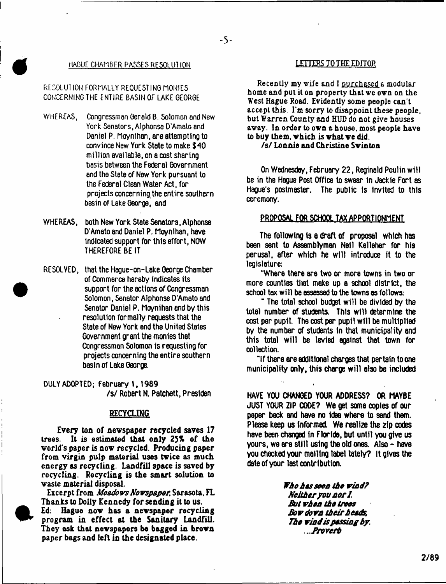#### HAGUE CHAMBER PASSES RESOLUTION

-5-

# FctOOLUT ION' FORMALLY REQUESTING MONIES CONCERNING THE ENTIRE BASIN OF LAKE GEOROE

*4*

 $\bullet$ 

- WHEREAS, Congressmen Gerald B. Solomon and New York Senators, Alphonse D'Amato and Daniel P. Mo/nlhan, are attempting to convince New York State to make \$40 million available, on a cost sharing basis between the Federal Government end the State of New York pursuant to the Federal Clean Water Act, for projects concerning the entire southern basin of Lake George, and
- WHEREAS, both New York State Senators, Alphonse D'Amato and Daniel P. Moynihan, have indicated support for this effort, NOW THEREFORE BE IT
- RESOLYED, that the Hague-on-Lake George Chamber of Commerce hereby indicates its support for the actions of Congressman Solomon, Senator Alphonse D'Amato and Senator Daniel P. Moynihan and by this resolution formally requests that the State of New York and the United States Government grant the monies that Congressman Solomon is requesting for projects concerning the entire southern basin of Lake George.

**DULY ADOPTED; February 1, 1989** /s/ Robert N. Patchett, Preslden

## **RECYCLING**

**Every too of newspaper recycled saves 17 trees. It is estimated that only 25% of the world s paper is now recycled. Producing paper from virgin pulp material uses twice as much energy as recycling. Landfill space is saved by recycling. Recycling is the smart solution to waste material disposal.**

**Excerpt from** *Meadows Newspaper.* **Sarasota, FL Thanhs to Dolly Kennedy for sending it to us.**

**Ed: Hague now has a newspaper recycling program in effect at the Sanitary Landfill. They ask that newspapers be bagged in brown paper bags and left in the designated place.**

**Recently my wife and I purchased a modular home and pul it on property that we own on the West Hague Road. Evidently some people can't accept this. I'm sorry to disappoint these people, but Warren County and HUD do not give houses away. In order to own a house, most people have to** buy **them, which is what we did.**

## **/s/ Lonnie and Christine Svlnton**

On Wednesday, February 22, Reginald Poulin will be in the Hague Post Office to swear in Jackie Fort as Hague's postmaster. The public Is invited to this ceremony.

### PROPOSAL FOR SCHOOL TAX APPORTIONMENT

The following Is e draft of proposal which has been sent to Assemblyman Neil Kelleher for his perusal, after which he will introduce ft to the legislature:

"Where there are two or more towns in two or more counties tltat make up a school district, the school tax will be assessed to the towns as follows:

\* The total school budget will be divided by the total number of students. This will determine the cost per pupil The cost per pupil will be multiplied by the number of students In that municipality and this total will be levied against that town for collection.

"If there are additional charges that pertain to one municipality only, this charge will also be included

HAVE YOU CHANGED YOUR ADDRESS? OR MAYBE JUST YOUR ZIP CODE? We get some copies of our paper back and have no Idee where to send them. Please keep us Informed. We realize the zip codes have been changed in Floride, but until you give us yours, we are still using the old ones. AI90 - have you checked your mailing label lately? it gives the date of your last contribution.

> *Who has seen the wind? Neither you nor I. But when the trees Bow down their heads, The wind is passing by. ...Broverh*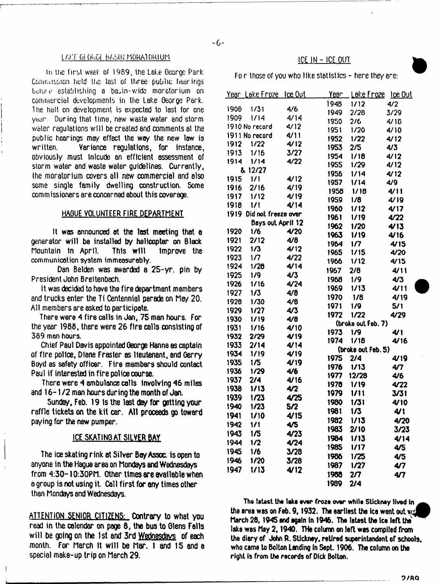#### tAt'T Gi OUGi hASiN hORATOi<IUM

In the first week of 1989, the Lake George Park Commission held the lost of three public hearings b-jiui e establishing a basin-wicfe moratorium on commercial developments in the Lake George Park. The halt on development is expected to last for one year. During that time, new waste water and storm water regulations w ill be created and comments at the public hearings may effect the way the new low is written. Variance regulations, for instance, obviously must inlcude an efficient assessment of storm water and waste water guidelines. Currently, the moratorium covers all new commercial and also some single family dwelling construction. Some commissioners are concerned about this coverage.

#### HAGUE VOLUNTEER FIRE DEPARTMENT

It was announced at the last meeting that a generator will be installed by helicopter on Black<br>Mountain in April. This will improve the mountain in April. This will Improve the communication system immeasurably.

Dan Belden was awarded a 25-yr. pin by President John Breitenbach.

It was decided to have the fire department members and trucks enter the Ti Centennial parade on May 20. All members are asked to participate.

There were 4 fire calls in Jan, 75 man hours. For the year 1988. there were 26 fire calls consisting of 389 man hours.

Chief Paul Davis appointed George Hanna as captain of fire police, Diane Frasier as lieutenant, and Gerry Boyd as safety officer. Fire members should contact Paul if interested in fire police course.

There were 4 ambulance calls involving 46 miles and 16-1/2 man hours during the month of Jan.

Sunday, Feb. 19 Is the last day for getting your raffle tickets on the kit car. All proceeds go toward paying for the new pumper.

## ICE SKATING AT SILVER BAY

The ice skating rink at Silver Bay Assoc, is open to anyone in the Hague area on Mondays and Wednesdays from 4:30-10:30PM. Other times are available when a group is not using it. Call first for any times other than Mondays and Wednesdays.

ATTENTION SENIOR CITIZENS: Contrary to what you read in the calendar on page 8, the bus to Glens Falls will be going on the 1st and 3rd Wednesdays of each month. For March It will be Mar. I and 15 8nd a special make-up trip on March 29.

# ICE IN - ICE OUT

Fo r those of you who like statistics - here they ere:

|                   | <u>Year Lake Froze loe Out</u> |      | <u>Year</u> | <u>Løke Fraze læ Out</u> |      |
|-------------------|--------------------------------|------|-------------|--------------------------|------|
|                   |                                |      | 1948        | 1/12                     | 4/2  |
| 1908              | 1/31                           | 4/6  | 1949        | 2/28                     | 3/29 |
| 1909              | 1/14                           | 4/14 | 1950        | 2/6                      | 4/16 |
|                   | 1910 No necond                 | 4/12 | 1951        | 1/20                     | 4/10 |
|                   | 1911 No record                 | 4/11 | 1952        | 1/22                     | 4/12 |
| 1912              | 1/22                           | 4/12 | 1953        | 2/5                      | 4/3  |
| 1913              | 1/16                           | 3/27 | 1954        | 1/18                     | 4/12 |
| 1914              | 1/14                           | 4/22 | 1955        | 1/29                     | 4/12 |
|                   | & 12/27                        |      | 1956        | 1/14                     | 4/12 |
| 1915              | 1/1                            | 4/12 | 1957        | 1/14                     | 4/9  |
| 1916              | 2/16                           | 4/19 | 1958        | 1/18                     | 4/11 |
| 1917              | 1/12                           | 4/19 | 1959        | 1/8                      | 4/19 |
| 1918              | 1/1                            | 4/14 | 1960        | 1/12                     | 4/17 |
| 1919              | Did not freeze over            |      | 1961        | 1/19                     | 4/22 |
| Bays out April 12 |                                |      | 1962        | 1/20                     | 4/13 |
| 1920              | 1/6                            | 4/20 | 1963        | 1/19                     | 4/16 |
| 1921              | 2/12                           | 4/8  | 1964        | 1/7                      | 4/15 |
| 1922              | 1/3                            | 4/12 | 1965        | 1/15                     | 4/20 |
| 1923              | 1/7                            | 4/22 | 1966        | 1/12                     | 4/15 |
| 1924              | 1/26                           | 4/14 | 1967        | 2/6                      | 4/11 |
| 1925              | 1/9                            | 4/3  | 1968        | 1/9                      | 4/3  |
| 1926              | 1/16                           | 4/24 | 1969        | 1/13                     | 4/11 |
| 1927              | 1/3                            | 4/8  | 1970        | 1/8                      | 4/19 |
| 1928              | 1/30                           | 4/6  | 1971        | 1/9                      | 5/1  |
| 1929              | 1/27                           | 4/3  | 1972        | 1/22                     | 4/29 |
| 1930              | 1/19                           | 4/8  |             | (broke out Feb. 7)       |      |
| 1931              | 1/16                           | 4/10 | 1973        | 1/9                      | 4/1  |
| 1932              | 2/29                           | 4/19 | 1974        | 1/18                     | 4/16 |
| 1933              | 2/14                           | 4/14 |             | (broke out Feb. 5)       |      |
| 1934              | 1/19                           | 4/19 | 1975        | 2/4                      | 4/19 |
| 1935              | 1/5                            | 4/19 | 1976        | 1/13                     | 4/7  |
| 1936              | 1/29                           | 4/6  | 1977        | 12/28                    | 4/6  |
| 1937              | 2/4                            | 4/16 | 1978        | 1/19                     | 4/22 |
| 1938              | 1/13                           | 4/2  | 1979        | 1/11                     | 3/31 |
| 1939              | 1/23                           | 4/25 | 1980        | 1/31                     | 4/10 |
| 1940              | 1/23                           | 5/2  | 1981        | 1/3                      | 47 1 |
| 1941              | 1/10                           | 4/15 | 1982        | 1/13                     | 4/20 |
| 1942              | 1/1                            | 4/5  | 1983        | 2/10                     | 3/23 |
| 1943              | 1/5                            | 4/23 | 1984        | 1/13                     | 4/14 |
| 1944              | 1/2                            | 4/24 | 1985        | 1/17                     | 4/5  |
| 1945              | 1/6                            | 3/28 | 1986        | 1/25                     | 4/5  |
| 1946              | 1/20                           | 3/28 | 1987        | 1/27                     | 47   |
| 1947              | 1/13                           | 4/12 | 1988        | 2 <sub>7</sub>           | 47   |
|                   |                                |      | 1989        |                          |      |
|                   |                                |      |             | 2/4                      |      |

The latest the lake ever froze over while Stickney lived in **the area was on Feb. 9,1932. The eartiest the ice went out March 28.1945 and again in 1946. The latest the ice left the lake was May 2,1940. THa column on left was compiled from the diary of John R. Stlckney, retired superintendent of schools, who came to Bolton Landing In Sept. 1906. The column on the right Is from the records of Dick Bolton.**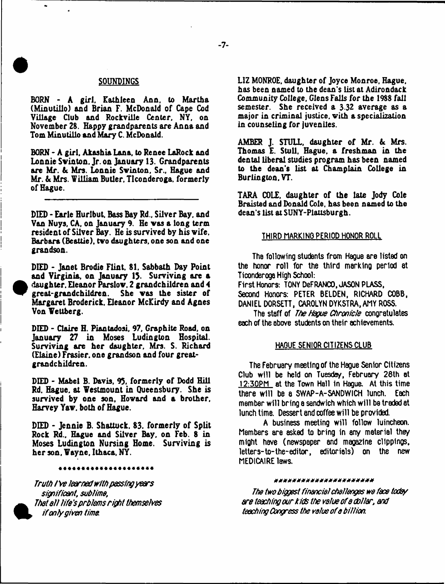#### **SOUNDINGS**

**BORN - A girl, Kathleen Ann. to Martha (Minulillo) and Brian F. McDonald of Cape Cod Village Club and Rockville Center, NY, on November 28. Happy grandparents are Anna and Tom Minutillo and Mary C. McDonald.**

**BORN \* A girl, Akashia Lana, to Renee LaRock and Lonnie Svinton. Jr. on January 13. Grandparents are Mr.** *U* **Mrs. Lonnie Svinton, Sr., Hague and Mr. & Mrs. William Butler. Ticonderoga, formerly of Hague.**

**DIED - Earle Hurlbut. Bass Bay Rd.. Silver Bay. and Van Nuys, CA, on January 9. He vas a long term resident of Silver Bay. He is survived by his vife, Barbara (Beattie), tvo daughters, one son and one grandson.**

**DIED - Janet Brodie Flint. 81. Sabbath Day Point and Virginia, on January 13. Surviving are a daughter. Eleanor Parslov, 2 grandchildren and 4 great-grandchildren. She vas the sister of Margaret Broderick. Eleanor McKirdy and Agnes Von Wettberg.**

**#**

**DIED - Claire H. Piantadosi, 97, Graphite Road, on January 27 in Moses Ludington Hospital. Surviving are her daughter, Mrs. S. Richard (Elaine) Frasier, one grandson and four greatgrandchildren.**

**DIED - Mabel B. Davis, 93. formerly of Dodd Hill Rd. Hague, at Westmount in Queensbury. She is survived by one son, Hovard and a brother, Harvey Yaw. both of Hague.**

**DIED - Jennie B. Shattuck, 83. formerly of Split Rock Rd., Hague and Silver Bay, on Feb. 8 in Moses Ludington Nursing Home. Surviving is her son, Wayne, Ithaca, NY.**

\*\*\*\*\*\*\*\*\*\*\*\*\*\*\*\*\*\*\*\*\*

*Truth I've learned with passing years if only given time* the second teaching Congress the value of a billion.

**LIZ MONROE, daughter of Joyce Monroe, Hague, has been named to the dean's list at Adirondack Community College. Glens Falls for the 1988 fall semester. She received a 3 32 average as a major in criminal justice, with a specialization in counseling for juveniles.**

AMBER J. STULL, daughter of Mr. & Mrs. **Thomas E. Stull, Hague, a freshman in the dental liberal studies program has been named to the dean's list at Champlain College in Burlington. VT.**

**TARA COLE, daughter of the late Jody Cole Braisted and Donald Cole, has been named to the dean's list at SUNY-Plausburgh.**

#### THIRD MARKING PERIOD HONOR ROLL

The following students from Hague are listed on the honor roll for the third marking period at Ticonderoga High School:

First Honors: TONY DeFRANCO, JASON PLASS, Second Honors: PETER BELDEN, RICHARD COBB, DANIEL DORSETT, CAROLYN DYKSTRA, AMY ROSS.

The staff of *The Hague Chronicle* congratulates each of the above students on their achievements.

#### HAQUF SENIOR CITIZENS CLUB

The February meeting of the Hague Senior Citizens Club will be held on Tuesday February 26th at 12:30PM at the Town Hall in Hague. At this time there will be a SWAP-A-SANDWICH lunch. Each member will bring a sandwich which will be traded at lunch time. Dessert and coffee will be provided.

A business meeting will follow luincheon. Members are asked to bring in any material they might have (newspaper and maoa2lne clippings, letters-to-the-editor, editorials) on the new MEDICAIRE laws.

#### \*\*\*\*\*\*\*\*\*\*\*\*\*\*\*\*\*\*\*\*\*\*\*

*si&ificant, sublime***,** *The two biggest financial challenges we face today* **A** *That a ll life's prblems right themselves are teaching our kids the value of a dollar, and*